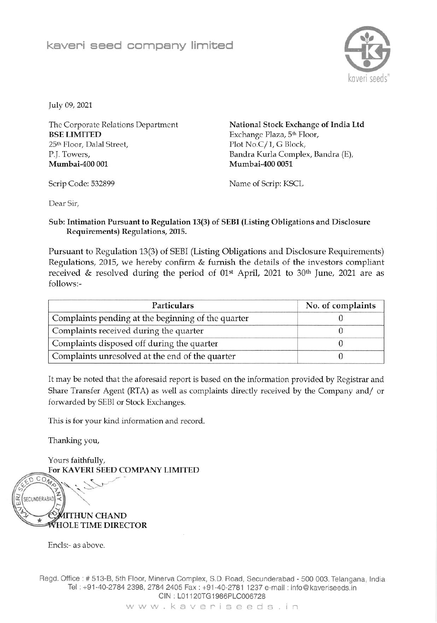

July 09, 2021

The Corporate Relations Department **BSE LIMITED** 25<sup>th</sup> Floor, Dalal Street, P.J. Towers, Mumbai-400 001

Scrip Code: 532899

National Stock Exchange of India Ltd Exchange Plaza, 5th Floor, Plot No.C/1, G Block, Bandra Kurla Complex, Bandra (E), Mumbai-400 0051

Name of Scrip: KSCL

Dear Sir,

## Sub: Intimation Pursuant to Regulation 13(3) of SEBI (Listing Obligations and Disclosure Requirements) Regulations, 2015.

Pursuant to Regulation 13(3) of SEBI (Listing Obligations and Disclosure Requirements) Regulations, 2015, we hereby confirm & furnish the details of the investors compliant received & resolved during the period of 01<sup>st</sup> April, 2021 to 30<sup>th</sup> June, 2021 are as follows:-

| Particulars                                        | No. of complaints |  |
|----------------------------------------------------|-------------------|--|
| Complaints pending at the beginning of the quarter |                   |  |
| Complaints received during the quarter             |                   |  |
| Complaints disposed off during the quarter         |                   |  |
| Complaints unresolved at the end of the quarter    |                   |  |

It may be noted that the aforesaid report is based on the information provided by Registrar and Share Transfer Agent (RTA) as well as complaints directly received by the Company and/ or forwarded by SEBI or Stock Exchanges.

This is for your kind information and record.

Thanking you,

Yours faithfully, For KAVERI SEED COMPANY LIMITED



Encls:- as above.

Regd. Office: # 513-B, 5th Floor, Minerva Complex, S.D. Road, Secunderabad - 500 003. Telangana, India Tel: +91-40-2784 2398, 2784 2405 Fax: +91-40-2781 1237 e-mail: info@kaveriseeds.in CIN: L01120TG1986PLC006728